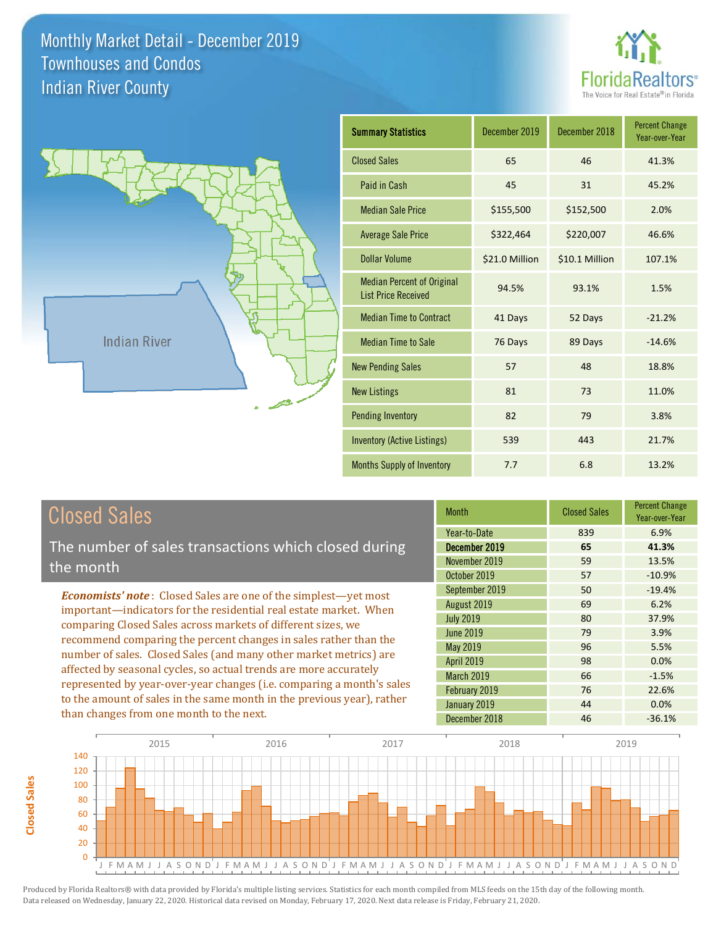



| <b>Summary Statistics</b>                                       | December 2019  | December 2018  | <b>Percent Change</b><br>Year-over-Year |
|-----------------------------------------------------------------|----------------|----------------|-----------------------------------------|
| <b>Closed Sales</b>                                             | 65             | 46             | 41.3%                                   |
| Paid in Cash                                                    | 45             | 31             | 45.2%                                   |
| <b>Median Sale Price</b>                                        | \$155,500      | \$152,500      | 2.0%                                    |
| <b>Average Sale Price</b>                                       | \$322,464      | \$220,007      | 46.6%                                   |
| Dollar Volume                                                   | \$21.0 Million | \$10.1 Million | 107.1%                                  |
| <b>Median Percent of Original</b><br><b>List Price Received</b> | 94.5%          | 93.1%          | 1.5%                                    |
| <b>Median Time to Contract</b>                                  | 41 Days        | 52 Days        | $-21.2%$                                |
| <b>Median Time to Sale</b>                                      | 76 Days        | 89 Days        | $-14.6%$                                |
| <b>New Pending Sales</b>                                        | 57             | 48             | 18.8%                                   |
| <b>New Listings</b>                                             | 81             | 73             | 11.0%                                   |
| <b>Pending Inventory</b>                                        | 82             | 79             | 3.8%                                    |
| <b>Inventory (Active Listings)</b>                              | 539            | 443            | 21.7%                                   |
| <b>Months Supply of Inventory</b>                               | 7.7            | 6.8            | 13.2%                                   |

| <b>Closed Sales</b> |
|---------------------|
|---------------------|

The number of sales transactions which closed during the month

*Economists' note* : Closed Sales are one of the simplest—yet most important—indicators for the residential real estate market. When comparing Closed Sales across markets of different sizes, we recommend comparing the percent changes in sales rather than the number of sales. Closed Sales (and many other market metrics) are affected by seasonal cycles, so actual trends are more accurately represented by year-over-year changes (i.e. comparing a month's sales to the amount of sales in the same month in the previous year), rather than changes from one month to the next.

| <b>Month</b>     | <b>Closed Sales</b> | <b>Percent Change</b><br>Year-over-Year |
|------------------|---------------------|-----------------------------------------|
| Year-to-Date     | 839                 | 6.9%                                    |
| December 2019    | 65                  | 41.3%                                   |
| November 2019    | 59                  | 13.5%                                   |
| October 2019     | 57                  | $-10.9%$                                |
| September 2019   | 50                  | $-19.4%$                                |
| August 2019      | 69                  | 6.2%                                    |
| <b>July 2019</b> | 80                  | 37.9%                                   |
| June 2019        | 79                  | 3.9%                                    |
| <b>May 2019</b>  | 96                  | 5.5%                                    |
| April 2019       | 98                  | 0.0%                                    |
| March 2019       | 66                  | $-1.5%$                                 |
| February 2019    | 76                  | 22.6%                                   |
| January 2019     | 44                  | 0.0%                                    |
| December 2018    | 46                  | $-36.1%$                                |

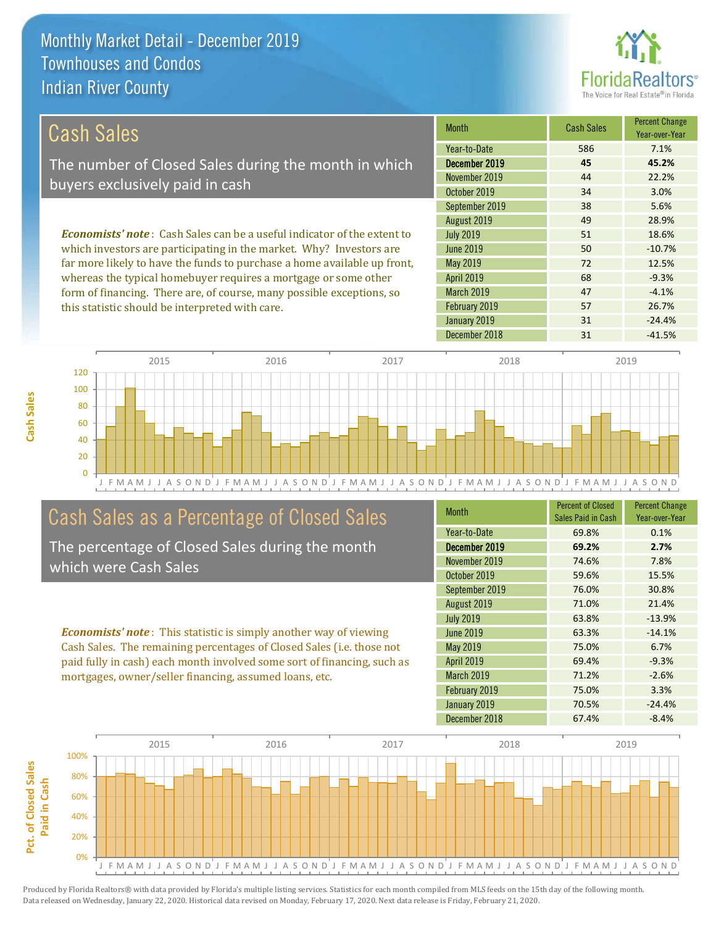

### September 2019 *Economists' note* : Cash Sales can be a useful indicator of the extent to which investors are participating in the market. Why? Investors are far more likely to have the funds to purchase a home available up front, Cash Sales The number of Closed Sales during the month in which buyers exclusively paid in cash

whereas the typical homebuyer requires a mortgage or some other form of financing. There are, of course, many possible exceptions, so this statistic should be interpreted with care.

| Month             | <b>Cash Sales</b> | <b>Percent Change</b><br>Year-over-Year |
|-------------------|-------------------|-----------------------------------------|
| Year-to-Date      | 586               | 7.1%                                    |
| December 2019     | 45                | 45.2%                                   |
| November 2019     | 44                | 22.2%                                   |
| October 2019      | 34                | 3.0%                                    |
| September 2019    | 38                | 5.6%                                    |
| August 2019       | 49                | 28.9%                                   |
| <b>July 2019</b>  | 51                | 18.6%                                   |
| <b>June 2019</b>  | 50                | $-10.7%$                                |
| May 2019          | 72                | 12.5%                                   |
| <b>April 2019</b> | 68                | $-9.3%$                                 |
| <b>March 2019</b> | 47                | $-4.1%$                                 |
| February 2019     | 57                | 26.7%                                   |
| January 2019      | 31                | $-24.4%$                                |
| December 2018     | 31                | $-41.5%$                                |



## Cash Sales as a Percentage of Closed Sales

The percentage of Closed Sales during the month which were Cash Sales

*Economists' note* : This statistic is simply another way of viewing Cash Sales. The remaining percentages of Closed Sales (i.e. those not paid fully in cash) each month involved some sort of financing, such as mortgages, owner/seller financing, assumed loans, etc.

| <b>Month</b>      | <b>Percent of Closed</b><br>Sales Paid in Cash | <b>Percent Change</b><br>Year-over-Year |
|-------------------|------------------------------------------------|-----------------------------------------|
| Year-to-Date      | 69.8%                                          | 0.1%                                    |
| December 2019     | 69.2%                                          | 2.7%                                    |
| November 2019     | 74.6%                                          | 7.8%                                    |
| October 2019      | 59.6%                                          | 15.5%                                   |
| September 2019    | 76.0%                                          | 30.8%                                   |
| August 2019       | 71.0%                                          | 21.4%                                   |
| <b>July 2019</b>  | 63.8%                                          | $-13.9%$                                |
| <b>June 2019</b>  | 63.3%                                          | $-14.1%$                                |
| May 2019          | 75.0%                                          | 6.7%                                    |
| <b>April 2019</b> | 69.4%                                          | $-9.3%$                                 |
| <b>March 2019</b> | 71.2%                                          | $-2.6%$                                 |
| February 2019     | 75.0%                                          | 3.3%                                    |
| January 2019      | 70.5%                                          | $-24.4%$                                |
| December 2018     | 67.4%                                          | $-8.4%$                                 |

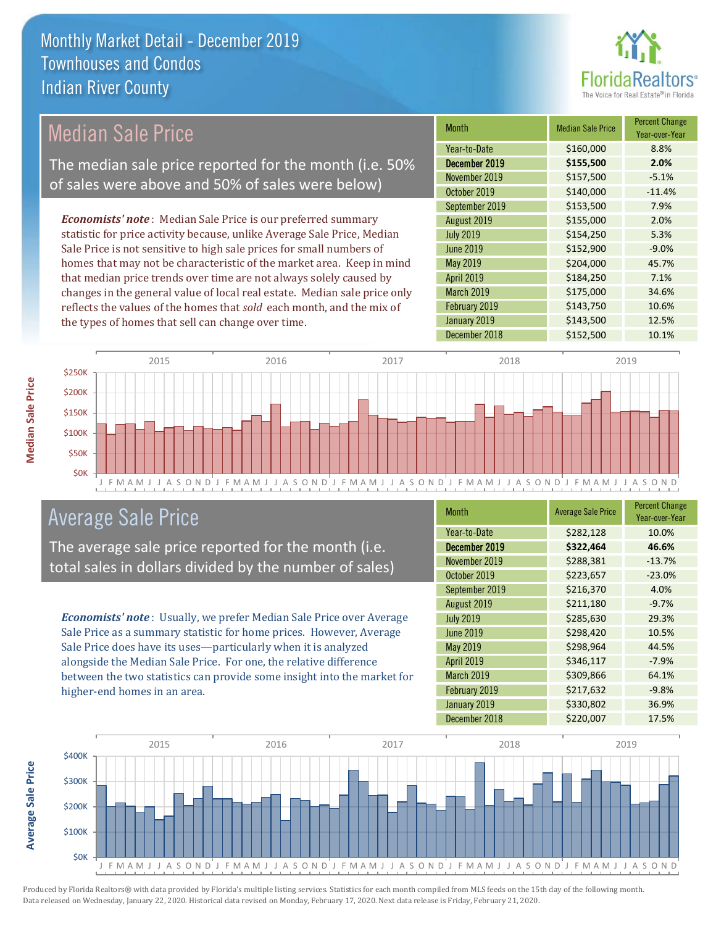

## Median Sale Price

The median sale price reported for the month (i.e. 50% of sales were above and 50% of sales were below)

*Economists' note* : Median Sale Price is our preferred summary statistic for price activity because, unlike Average Sale Price, Median Sale Price is not sensitive to high sale prices for small numbers of homes that may not be characteristic of the market area. Keep in mind that median price trends over time are not always solely caused by changes in the general value of local real estate. Median sale price only reflects the values of the homes that *sold* each month, and the mix of the types of homes that sell can change over time.

| <b>Month</b>      | <b>Median Sale Price</b> | <b>Percent Change</b><br>Year-over-Year |
|-------------------|--------------------------|-----------------------------------------|
| Year-to-Date      | \$160,000                | 8.8%                                    |
| December 2019     | \$155,500                | 2.0%                                    |
| November 2019     | \$157,500                | $-5.1%$                                 |
| October 2019      | \$140,000                | $-11.4%$                                |
| September 2019    | \$153,500                | 7.9%                                    |
| August 2019       | \$155,000                | 2.0%                                    |
| <b>July 2019</b>  | \$154,250                | 5.3%                                    |
| <b>June 2019</b>  | \$152,900                | $-9.0%$                                 |
| May 2019          | \$204,000                | 45.7%                                   |
| <b>April 2019</b> | \$184,250                | 7.1%                                    |
| March 2019        | \$175,000                | 34.6%                                   |
| February 2019     | \$143,750                | 10.6%                                   |
| January 2019      | \$143,500                | 12.5%                                   |
| December 2018     | \$152,500                | 10.1%                                   |



## Average Sale Price

The average sale price reported for the month (i.e. total sales in dollars divided by the number of sales)

*Economists' note* : Usually, we prefer Median Sale Price over Average Sale Price as a summary statistic for home prices. However, Average Sale Price does have its uses—particularly when it is analyzed alongside the Median Sale Price. For one, the relative difference between the two statistics can provide some insight into the market for higher-end homes in an area.

| Month            | <b>Average Sale Price</b> | <b>Percent Change</b><br>Year-over-Year |
|------------------|---------------------------|-----------------------------------------|
| Year-to-Date     | \$282,128                 | 10.0%                                   |
| December 2019    | \$322,464                 | 46.6%                                   |
| November 2019    | \$288,381                 | $-13.7%$                                |
| October 2019     | \$223,657                 | $-23.0%$                                |
| September 2019   | \$216,370                 | 4.0%                                    |
| August 2019      | \$211,180                 | $-9.7%$                                 |
| <b>July 2019</b> | \$285,630                 | 29.3%                                   |
| <b>June 2019</b> | \$298,420                 | 10.5%                                   |
| <b>May 2019</b>  | \$298,964                 | 44.5%                                   |
| April 2019       | \$346,117                 | $-7.9%$                                 |
| March 2019       | \$309,866                 | 64.1%                                   |
| February 2019    | \$217,632                 | $-9.8%$                                 |
| January 2019     | \$330,802                 | 36.9%                                   |
| December 2018    | \$220,007                 | 17.5%                                   |



**Average Sale Price**

Average Sale Price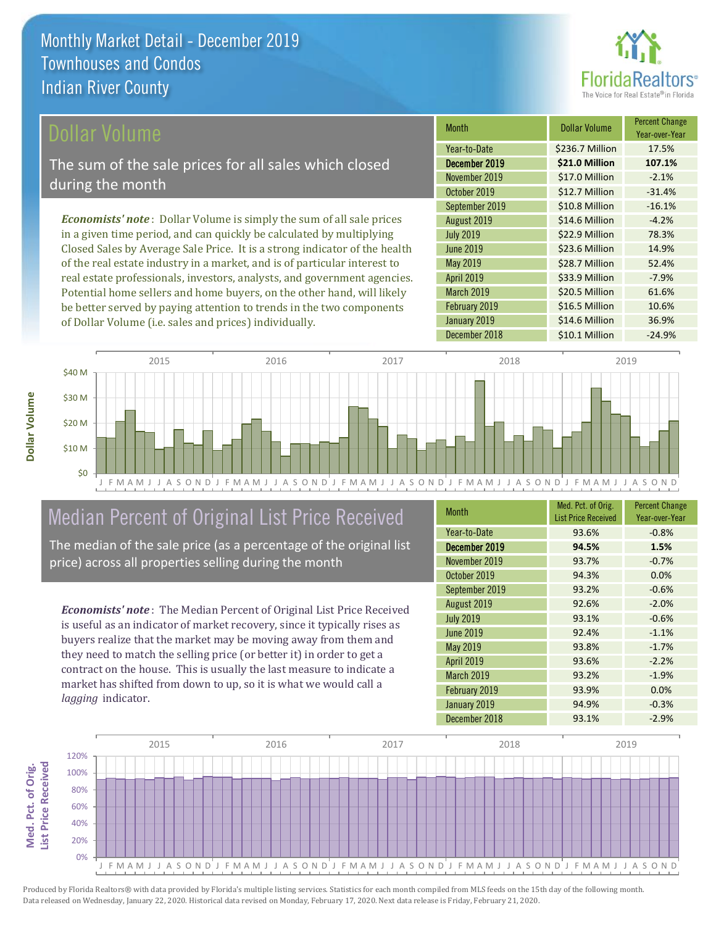

## ollar Volume

The sum of the sale prices for all sales which closed during the month

*Economists' note* : Dollar Volume is simply the sum of all sale prices in a given time period, and can quickly be calculated by multiplying Closed Sales by Average Sale Price. It is a strong indicator of the health of the real estate industry in a market, and is of particular interest to real estate professionals, investors, analysts, and government agencies. Potential home sellers and home buyers, on the other hand, will likely be better served by paying attention to trends in the two components of Dollar Volume (i.e. sales and prices) individually.

| <b>Month</b>      | Dollar Volume   | <b>Percent Change</b><br>Year-over-Year |
|-------------------|-----------------|-----------------------------------------|
| Year-to-Date      | \$236.7 Million | 17.5%                                   |
| December 2019     | \$21.0 Million  | 107.1%                                  |
| November 2019     | \$17.0 Million  | $-2.1%$                                 |
| October 2019      | \$12.7 Million  | $-31.4%$                                |
| September 2019    | \$10.8 Million  | $-16.1%$                                |
| August 2019       | \$14.6 Million  | $-4.2%$                                 |
| <b>July 2019</b>  | \$22.9 Million  | 78.3%                                   |
| <b>June 2019</b>  | \$23.6 Million  | 14.9%                                   |
| May 2019          | \$28.7 Million  | 52.4%                                   |
| <b>April 2019</b> | \$33.9 Million  | $-7.9%$                                 |
| March 2019        | \$20.5 Million  | 61.6%                                   |
| February 2019     | \$16.5 Million  | 10.6%                                   |
| January 2019      | \$14.6 Million  | 36.9%                                   |
| December 2018     | \$10.1 Million  | $-24.9%$                                |



## Median Percent of Original List Price Received

The median of the sale price (as a percentage of the original list price) across all properties selling during the month

*Economists' note* : The Median Percent of Original List Price Received is useful as an indicator of market recovery, since it typically rises as buyers realize that the market may be moving away from them and they need to match the selling price (or better it) in order to get a contract on the house. This is usually the last measure to indicate a market has shifted from down to up, so it is what we would call a *lagging* indicator.

| <b>Month</b>      | Med. Pct. of Orig.<br><b>List Price Received</b> | <b>Percent Change</b><br>Year-over-Year |
|-------------------|--------------------------------------------------|-----------------------------------------|
| Year-to-Date      | 93.6%                                            | $-0.8%$                                 |
| December 2019     | 94.5%                                            | 1.5%                                    |
| November 2019     | 93.7%                                            | $-0.7%$                                 |
| October 2019      | 94.3%                                            | 0.0%                                    |
| September 2019    | 93.2%                                            | $-0.6%$                                 |
| August 2019       | 92.6%                                            | $-2.0%$                                 |
| <b>July 2019</b>  | 93.1%                                            | $-0.6%$                                 |
| June 2019         | 92.4%                                            | $-1.1%$                                 |
| May 2019          | 93.8%                                            | $-1.7%$                                 |
| <b>April 2019</b> | 93.6%                                            | $-2.2%$                                 |
| March 2019        | 93.2%                                            | $-1.9%$                                 |
| February 2019     | 93.9%                                            | 0.0%                                    |
| January 2019      | 94.9%                                            | $-0.3%$                                 |
| December 2018     | 93.1%                                            | $-2.9%$                                 |

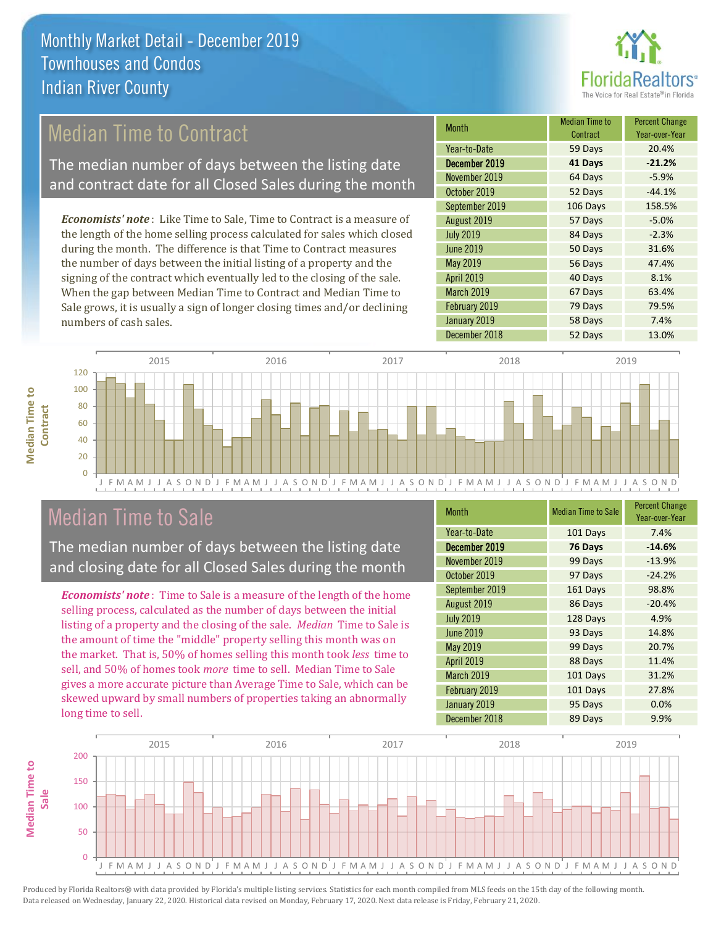

## Median Time to Contract

The median number of days between the listing date and contract date for all Closed Sales during the month

*Economists' note* : Like Time to Sale, Time to Contract is a measure of the length of the home selling process calculated for sales which closed during the month. The difference is that Time to Contract measures the number of days between the initial listing of a property and the signing of the contract which eventually led to the closing of the sale. When the gap between Median Time to Contract and Median Time to Sale grows, it is usually a sign of longer closing times and/or declining numbers of cash sales.

| <b>Month</b>      | <b>Median Time to</b><br>Contract | <b>Percent Change</b><br>Year-over-Year |
|-------------------|-----------------------------------|-----------------------------------------|
| Year-to-Date      | 59 Days                           | 20.4%                                   |
| December 2019     | 41 Days                           | $-21.2%$                                |
| November 2019     | 64 Days                           | $-5.9%$                                 |
| October 2019      | 52 Days                           | $-44.1%$                                |
| September 2019    | 106 Days                          | 158.5%                                  |
| August 2019       | 57 Days                           | $-5.0%$                                 |
| <b>July 2019</b>  | 84 Days                           | $-2.3%$                                 |
| <b>June 2019</b>  | 50 Days                           | 31.6%                                   |
| May 2019          | 56 Days                           | 47.4%                                   |
| <b>April 2019</b> | 40 Days                           | 8.1%                                    |
| March 2019        | 67 Days                           | 63.4%                                   |
| February 2019     | 79 Days                           | 79.5%                                   |
| January 2019      | 58 Days                           | 7.4%                                    |
| December 2018     | 52 Days                           | 13.0%                                   |



## Median Time to Sale

**Median Time to** 

**Median Time to** 

The median number of days between the listing date and closing date for all Closed Sales during the month

*Economists' note* : Time to Sale is a measure of the length of the home selling process, calculated as the number of days between the initial listing of a property and the closing of the sale. *Median* Time to Sale is the amount of time the "middle" property selling this month was on the market. That is, 50% of homes selling this month took *less* time to sell, and 50% of homes took *more* time to sell. Median Time to Sale gives a more accurate picture than Average Time to Sale, which can be skewed upward by small numbers of properties taking an abnormally long time to sell.

| <b>Month</b>      | <b>Median Time to Sale</b> | <b>Percent Change</b><br>Year-over-Year |
|-------------------|----------------------------|-----------------------------------------|
| Year-to-Date      | 101 Days                   | 7.4%                                    |
| December 2019     | 76 Days                    | $-14.6%$                                |
| November 2019     | 99 Days                    | $-13.9%$                                |
| October 2019      | 97 Days                    | $-24.2%$                                |
| September 2019    | 161 Days                   | 98.8%                                   |
| August 2019       | 86 Days                    | $-20.4%$                                |
| <b>July 2019</b>  | 128 Days                   | 4.9%                                    |
| <b>June 2019</b>  | 93 Days                    | 14.8%                                   |
| May 2019          | 99 Days                    | 20.7%                                   |
| <b>April 2019</b> | 88 Days                    | 11.4%                                   |
| <b>March 2019</b> | 101 Days                   | 31.2%                                   |
| February 2019     | 101 Days                   | 27.8%                                   |
| January 2019      | 95 Days                    | 0.0%                                    |
| December 2018     | 89 Days                    | 9.9%                                    |

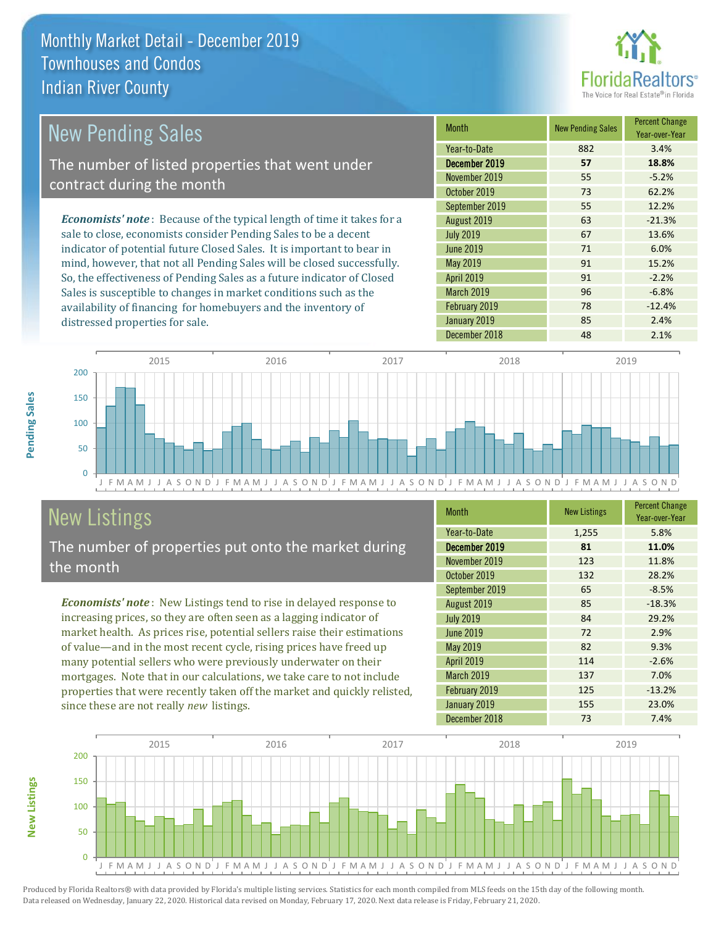

#### *Economists' note* : Because of the typical length of time it takes for a sale to close, economists consider Pending Sales to be a decent indicator of potential future Closed Sales. It is important to bear in mind, however, that not all Pending Sales will be closed successfully. So, the effectiveness of Pending Sales as a future indicator of Closed Month New Pending Sales Percent Change Year-over-Year December 2019 **57 18.8%** Year-to-Date 882 3.4% May 2019 **91** 15.2% November 2019 55 -5.2% October 2019 73 62.2% July 2019 **67** 13.6% June 2019 71 6.0% September 2019 **55** 12.2% August 2019 **63** -21.3% April 2019 **91** -2.2% New Pending Sales The number of listed properties that went under contract during the month

Sales is susceptible to changes in market conditions such as the availability of financing for homebuyers and the inventory of distressed properties for sale.

**New Listings**



## New Listings

The number of properties put onto the market during the month

*Economists' note* : New Listings tend to rise in delayed response to increasing prices, so they are often seen as a lagging indicator of market health. As prices rise, potential sellers raise their estimations of value—and in the most recent cycle, rising prices have freed up many potential sellers who were previously underwater on their mortgages. Note that in our calculations, we take care to not include properties that were recently taken off the market and quickly relisted, since these are not really *new* listings.

| <b>Month</b>     | <b>New Listings</b> | <b>Percent Change</b><br>Year-over-Year |
|------------------|---------------------|-----------------------------------------|
| Year-to-Date     | 1,255               | 5.8%                                    |
| December 2019    | 81                  | 11.0%                                   |
| November 2019    | 123                 | 11.8%                                   |
| October 2019     | 132                 | 28.2%                                   |
| September 2019   | 65                  | $-8.5%$                                 |
| August 2019      | 85                  | $-18.3%$                                |
| <b>July 2019</b> | 84                  | 29.2%                                   |
| <b>June 2019</b> | 72                  | 2.9%                                    |
| May 2019         | 82                  | 9.3%                                    |
| April 2019       | 114                 | $-2.6%$                                 |
| March 2019       | 137                 | 7.0%                                    |
| February 2019    | 125                 | $-13.2%$                                |
| January 2019     | 155                 | 23.0%                                   |
| December 2018    | 73                  | 7.4%                                    |

March 2019 **96** -6.8% February 2019 **78** -12.4% January 2019 **85** 2.4% December 2018 18 48 2.1%

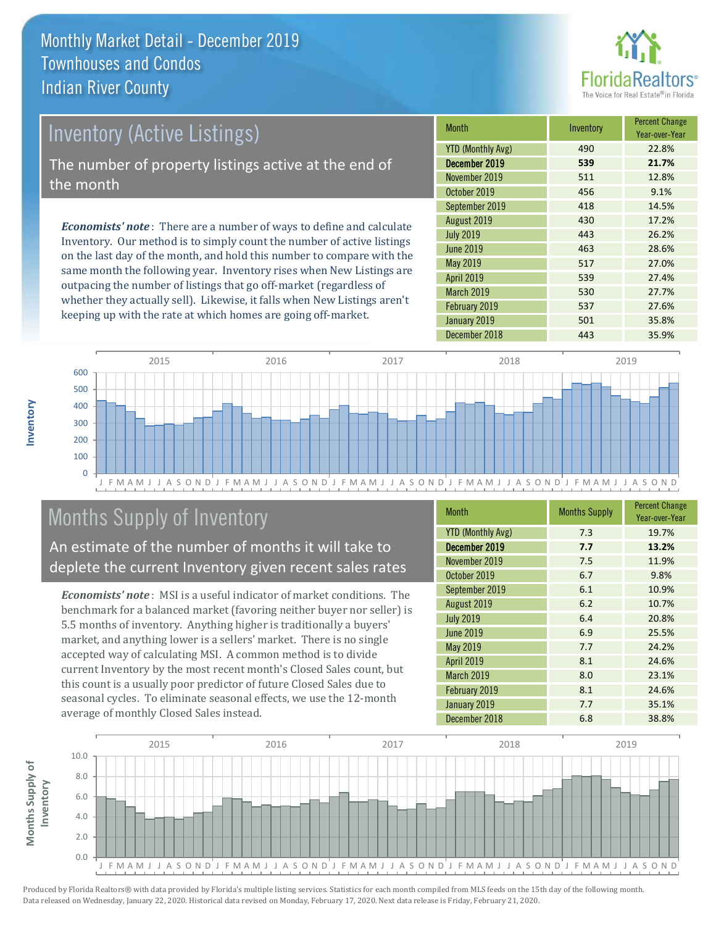

## Inventory (Active Listings) The number of property listings active at the end of the month

*Economists' note* : There are a number of ways to define and calculate Inventory. Our method is to simply count the number of active listings on the last day of the month, and hold this number to compare with the same month the following year. Inventory rises when New Listings are outpacing the number of listings that go off-market (regardless of whether they actually sell). Likewise, it falls when New Listings aren't keeping up with the rate at which homes are going off-market.

| Month                    | Inventory | <b>Percent Change</b><br>Year-over-Year |
|--------------------------|-----------|-----------------------------------------|
| <b>YTD (Monthly Avg)</b> | 490       | 22.8%                                   |
| December 2019            | 539       | 21.7%                                   |
| November 2019            | 511       | 12.8%                                   |
| October 2019             | 456       | 9.1%                                    |
| September 2019           | 418       | 14.5%                                   |
| August 2019              | 430       | 17.2%                                   |
| <b>July 2019</b>         | 443       | 26.2%                                   |
| <b>June 2019</b>         | 463       | 28.6%                                   |
| <b>May 2019</b>          | 517       | 27.0%                                   |
| <b>April 2019</b>        | 539       | 27.4%                                   |
| <b>March 2019</b>        | 530       | 27.7%                                   |
| February 2019            | 537       | 27.6%                                   |
| January 2019             | 501       | 35.8%                                   |
| December 2018            | 443       | 35.9%                                   |



## Months Supply of Inventory

An estimate of the number of months it will take to deplete the current Inventory given recent sales rates

*Economists' note* : MSI is a useful indicator of market conditions. The benchmark for a balanced market (favoring neither buyer nor seller) is 5.5 months of inventory. Anything higher is traditionally a buyers' market, and anything lower is a sellers' market. There is no single accepted way of calculating MSI. A common method is to divide current Inventory by the most recent month's Closed Sales count, but this count is a usually poor predictor of future Closed Sales due to seasonal cycles. To eliminate seasonal effects, we use the 12-month average of monthly Closed Sales instead.

| <b>Month</b>             | <b>Months Supply</b> | <b>Percent Change</b><br>Year-over-Year |
|--------------------------|----------------------|-----------------------------------------|
| <b>YTD (Monthly Avg)</b> | 7.3                  | 19.7%                                   |
| December 2019            | 7.7                  | 13.2%                                   |
| November 2019            | 7.5                  | 11.9%                                   |
| October 2019             | 6.7                  | 9.8%                                    |
| September 2019           | 6.1                  | 10.9%                                   |
| August 2019              | 6.2                  | 10.7%                                   |
| <b>July 2019</b>         | 6.4                  | 20.8%                                   |
| <b>June 2019</b>         | 6.9                  | 25.5%                                   |
| May 2019                 | 7.7                  | 24.2%                                   |
| <b>April 2019</b>        | 8.1                  | 24.6%                                   |
| March 2019               | 8.0                  | 23.1%                                   |
| February 2019            | 8.1                  | 24.6%                                   |
| January 2019             | 7.7                  | 35.1%                                   |
| December 2018            | 6.8                  | 38.8%                                   |

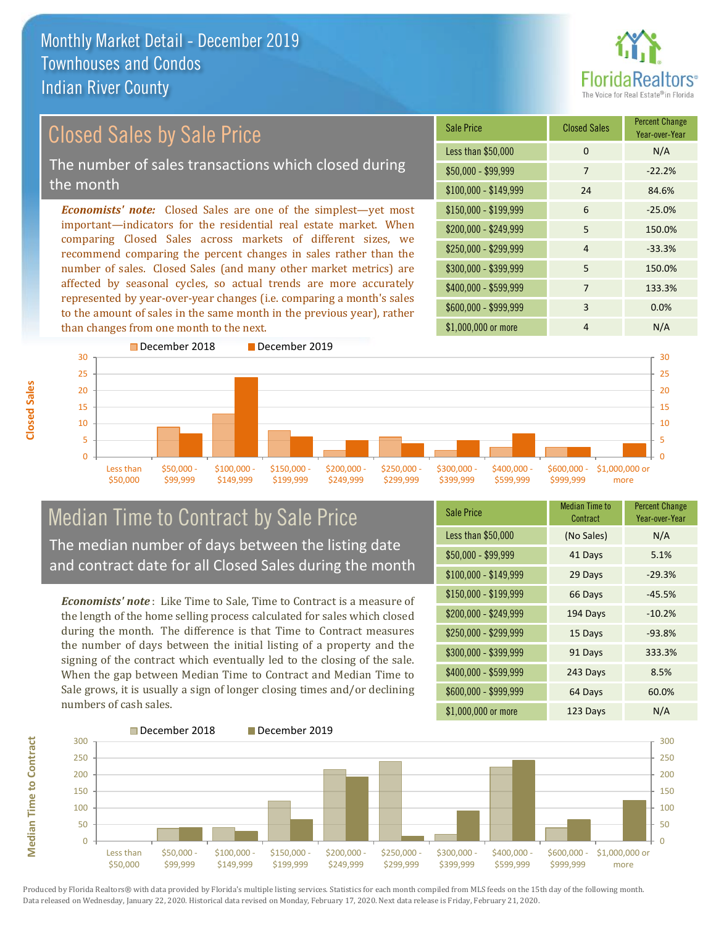

#### *Economists' note:* Closed Sales are one of the simplest—yet most important—indicators for the residential real estate market. When comparing Closed Sales across markets of different sizes, we recommend comparing the percent changes in sales rather than the number of sales. Closed Sales (and many other market metrics) are affected by seasonal cycles, so actual trends are more accurately represented by year-over-year changes (i.e. comparing a month's sales to the amount of sales in the same month in the previous year), rather than changes from one month to the next. \$1,000,000 or more 4 N/A  $$250,000 - $299,999$  4 -33.3% \$300,000 - \$399,999 5 150.0% \$400,000 - \$599,999 7 133.3% \$600,000 - \$999,999 3 0.0% \$150,000 - \$199,999 6 -25.0% \$200,000 - \$249,999 5 150.0%  $$100,000 - $149,999$  24 84.6% Sale Price Closed Sales Percent Change Year-over-Year Less than \$50,000 0 0 N/A  $$50,000 - $99,999$  7 -22.2% Closed Sales by Sale Price The number of sales transactions which closed during the month



## Median Time to Contract by Sale Price The median number of days between the listing date and contract date for all Closed Sales during the month

*Economists' note* : Like Time to Sale, Time to Contract is a measure of the length of the home selling process calculated for sales which closed during the month. The difference is that Time to Contract measures the number of days between the initial listing of a property and the signing of the contract which eventually led to the closing of the sale. When the gap between Median Time to Contract and Median Time to Sale grows, it is usually a sign of longer closing times and/or declining numbers of cash sales.

| <b>Sale Price</b>     | <b>Median Time to</b><br>Contract | <b>Percent Change</b><br>Year-over-Year |
|-----------------------|-----------------------------------|-----------------------------------------|
| Less than \$50,000    | (No Sales)                        | N/A                                     |
| $$50,000 - $99,999$   | 41 Days                           | 5.1%                                    |
| $$100,000 - $149,999$ | 29 Days                           | $-29.3%$                                |
| $$150,000 - $199,999$ | 66 Days                           | $-45.5%$                                |
| \$200,000 - \$249,999 | 194 Days                          | $-10.2%$                                |
| \$250,000 - \$299,999 | 15 Days                           | $-93.8%$                                |
| \$300,000 - \$399,999 | 91 Days                           | 333.3%                                  |
| \$400,000 - \$599,999 | 243 Days                          | 8.5%                                    |
| \$600,000 - \$999,999 | 64 Days                           | 60.0%                                   |
| \$1,000,000 or more   | 123 Days                          | N/A                                     |

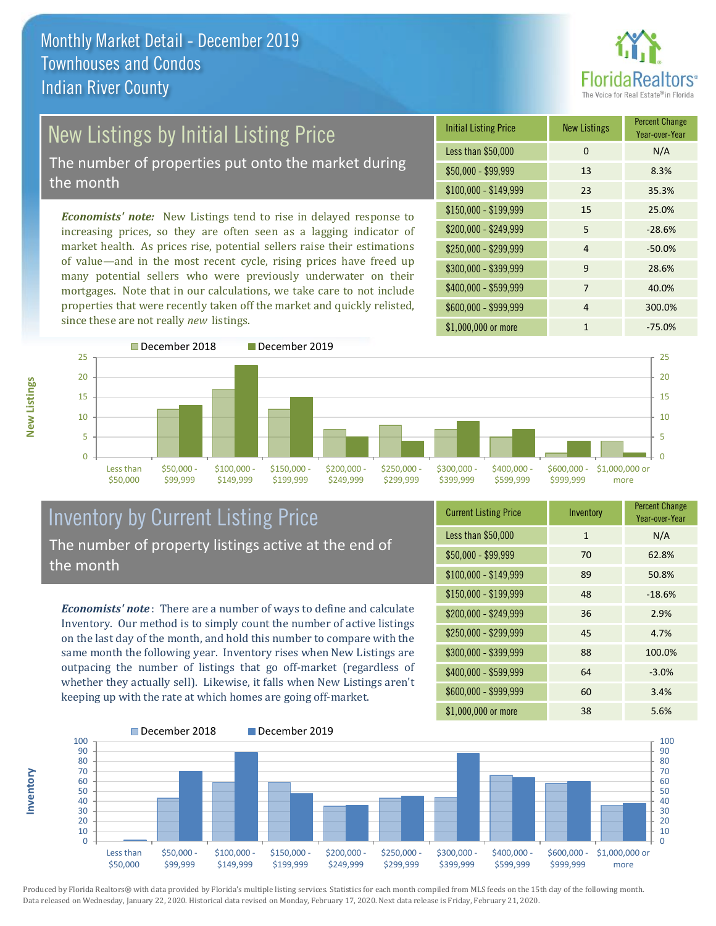

# New Listings by Initial Listing Price

The number of properties put onto the market during the month

*Economists' note:* New Listings tend to rise in delayed response to increasing prices, so they are often seen as a lagging indicator of market health. As prices rise, potential sellers raise their estimations of value—and in the most recent cycle, rising prices have freed up many potential sellers who were previously underwater on their mortgages. Note that in our calculations, we take care to not include properties that were recently taken off the market and quickly relisted, since these are not really *new* listings.

| <b>Initial Listing Price</b> | <b>New Listings</b> | <b>Percent Change</b><br>Year-over-Year |
|------------------------------|---------------------|-----------------------------------------|
| Less than \$50,000           | 0                   | N/A                                     |
| $$50,000 - $99,999$          | 13                  | 8.3%                                    |
| $$100,000 - $149,999$        | 23                  | 35.3%                                   |
| $$150,000 - $199,999$        | 15                  | 25.0%                                   |
| \$200,000 - \$249,999        | 5                   | $-28.6%$                                |
| \$250,000 - \$299,999        | $\overline{4}$      | $-50.0%$                                |
| \$300,000 - \$399,999        | 9                   | 28.6%                                   |
| \$400,000 - \$599,999        | 7                   | 40.0%                                   |
| \$600,000 - \$999,999        | $\overline{4}$      | 300.0%                                  |
| \$1,000,000 or more          | 1                   | $-75.0%$                                |



## Inventory by Current Listing Price The number of property listings active at the end of the month

*Economists' note* : There are a number of ways to define and calculate Inventory. Our method is to simply count the number of active listings on the last day of the month, and hold this number to compare with the same month the following year. Inventory rises when New Listings are outpacing the number of listings that go off-market (regardless of whether they actually sell). Likewise, it falls when New Listings aren't keeping up with the rate at which homes are going off-market.

| <b>Current Listing Price</b> | Inventory    | <b>Percent Change</b><br>Year-over-Year |
|------------------------------|--------------|-----------------------------------------|
| Less than \$50,000           | $\mathbf{1}$ | N/A                                     |
| $$50,000 - $99,999$          | 70           | 62.8%                                   |
| $$100,000 - $149,999$        | 89           | 50.8%                                   |
| $$150,000 - $199,999$        | 48           | $-18.6%$                                |
| \$200,000 - \$249,999        | 36           | 2.9%                                    |
| \$250,000 - \$299,999        | 45           | 4.7%                                    |
| \$300,000 - \$399,999        | 88           | 100.0%                                  |
| \$400,000 - \$599,999        | 64           | $-3.0%$                                 |
| \$600,000 - \$999,999        | 60           | 3.4%                                    |
| \$1,000,000 or more          | 38           | 5.6%                                    |



Produced by Florida Realtors® with data provided by Florida's multiple listing services. Statistics for each month compiled from MLS feeds on the 15th day of the following month. Data released on Wednesday, January 22, 2020. Historical data revised on Monday, February 17, 2020. Next data release is Friday, February 21, 2020.

**Inventory**